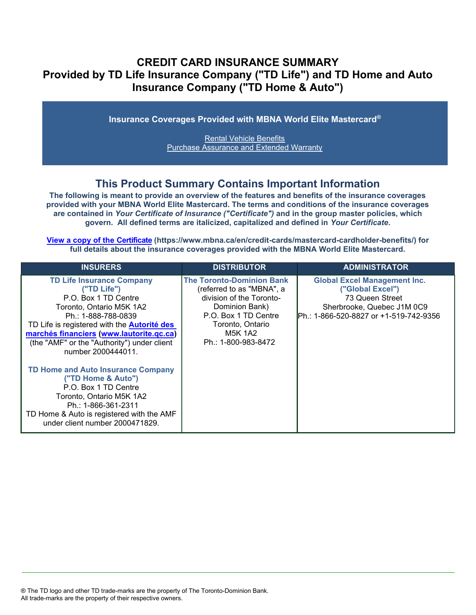## **CREDIT CARD INSURANCE SUMMARY Provided by TD Life Insurance Company ("TD Life") and TD Home and Auto Insurance Company ("TD Home & Auto")**

**Insurance Coverages Provided with MBNA World Elite Mastercard®**

Rental Vehicle Benefits Purchase Assurance and Extended Warranty

### **This Product Summary Contains Important Information**

**The following is meant to provide an overview of the features and benefits of the insurance coverages provided with your MBNA World Elite Mastercard. The terms and conditions of the insurance coverages are contained in** *Your Certificate of Insurance ("Certificate")* **and in the group master policies, which govern. All defined terms are italicized, capitalized and defined in** *Your Certificate***.**

**[View a copy of the Certificate](https://www.mbna.ca/en/credit-cards/mastercard-cardholder-benefits/) (https://www.mbna.ca/en/credit-cards/mastercard-cardholder-benefits/) for full details about the insurance coverages provided with the MBNA World Elite Mastercard.** 

| <b>INSURERS</b>                                                                                                                                                                                                                                                                                   | <b>DISTRIBUTOR</b>                                                                                                                                                                               | <b>ADMINISTRATOR</b>                                                                                                                               |
|---------------------------------------------------------------------------------------------------------------------------------------------------------------------------------------------------------------------------------------------------------------------------------------------------|--------------------------------------------------------------------------------------------------------------------------------------------------------------------------------------------------|----------------------------------------------------------------------------------------------------------------------------------------------------|
| <b>TD Life Insurance Company</b><br>("TD Life")<br>P.O. Box 1 TD Centre<br>Toronto, Ontario M5K 1A2<br>Ph.: 1-888-788-0839<br>TD Life is registered with the <b>Autorité des</b><br>marchés financiers (www.lautorite.qc.ca)<br>(the "AMF" or the "Authority") under client<br>number 2000444011. | <b>The Toronto-Dominion Bank</b><br>(referred to as "MBNA", a<br>division of the Toronto-<br>Dominion Bank)<br>P.O. Box 1 TD Centre<br>Toronto, Ontario<br><b>M5K 1A2</b><br>Ph.: 1-800-983-8472 | <b>Global Excel Management Inc.</b><br>("Global Excel")<br>73 Queen Street<br>Sherbrooke, Quebec J1M 0C9<br>Ph.: 1-866-520-8827 or +1-519-742-9356 |
| <b>TD Home and Auto Insurance Company</b><br>("TD Home & Auto")<br>P.O. Box 1 TD Centre<br>Toronto, Ontario M5K 1A2<br>Ph.: 1-866-361-2311<br>TD Home & Auto is registered with the AMF<br>under client number 2000471829.                                                                        |                                                                                                                                                                                                  |                                                                                                                                                    |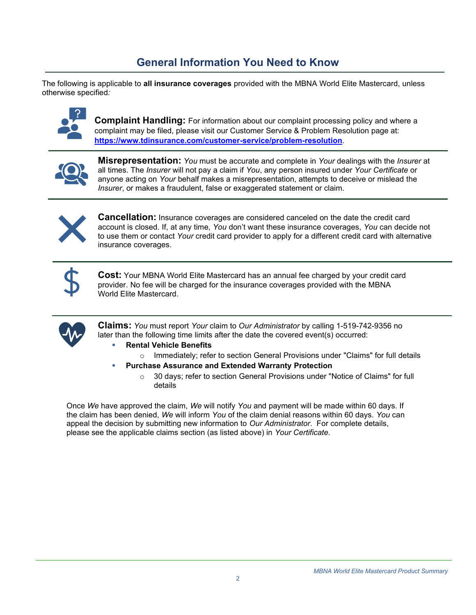# **General Information You Need to Know**

The following is applicable to **all insurance coverages** provided with the MBNA World Elite Mastercard, unless otherwise specified*:*



**Complaint Handling:** For information about our complaint processing policy and where a complaint may be filed, please visit our Customer Service & Problem Resolution page at: **<https://www.tdinsurance.com/customer-service/problem-resolution>**.



**Misrepresentation:** *You* must be accurate and complete in *Your* dealings with the *Insurer* at all times. The *Insurer* will not pay a claim if *You*, any person insured under *Your Certificate* or anyone acting on *Your* behalf makes a misrepresentation, attempts to deceive or mislead the *Insurer*, or makes a fraudulent, false or exaggerated statement or claim.



**Cancellation:** Insurance coverages are considered canceled on the date the credit card account is closed. If, at any time, *You* don't want these insurance coverages, *You* can decide not to use them or contact *Your* credit card provider to apply for a different credit card with alternative insurance coverages.



**Cost:** Your MBNA World Elite Mastercard has an annual fee charged by your credit card provider. No fee will be charged for the insurance coverages provided with the MBNA World Elite Mastercard.



**Claims:** *You* must report *Your* claim to *Our Administrator* by calling 1-519-742-9356 no later than the following time limits after the date the covered event(s) occurred:

- **Rental Vehicle Benefits**
- $\circ$  Immediately; refer to section General Provisions under "Claims" for full details
- **Purchase Assurance and Extended Warranty Protection** 
	- o 30 days; refer to section General Provisions under "Notice of Claims" for full details

Once *We* have approved the claim, *We* will notify *You* and payment will be made within 60 days. If the claim has been denied, *We* will inform *You* of the claim denial reasons within 60 days. *You* can appeal the decision by submitting new information to *Our Administrator*. For complete details, please see the applicable claims section (as listed above) in *Your Certificate.*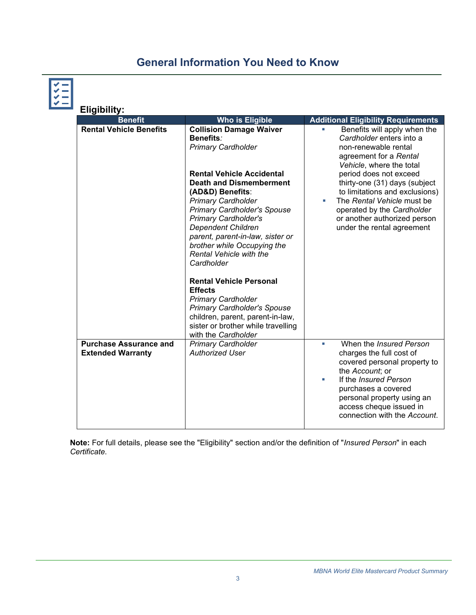# **General Information You Need to Know**

| Ц | <b>Eligibility:</b>                                       |                                                                                                                                                                                                                                                                                                                                                                                                                                                                                                                                           |                                                                                                                                                                                                                                                                         |
|---|-----------------------------------------------------------|-------------------------------------------------------------------------------------------------------------------------------------------------------------------------------------------------------------------------------------------------------------------------------------------------------------------------------------------------------------------------------------------------------------------------------------------------------------------------------------------------------------------------------------------|-------------------------------------------------------------------------------------------------------------------------------------------------------------------------------------------------------------------------------------------------------------------------|
|   | <b>Benefit</b>                                            | <b>Who is Eligible</b>                                                                                                                                                                                                                                                                                                                                                                                                                                                                                                                    | <b>Additional Eligibility Requirements</b>                                                                                                                                                                                                                              |
|   | <b>Rental Vehicle Benefits</b>                            | <b>Collision Damage Waiver</b><br>Benefits:<br><b>Primary Cardholder</b>                                                                                                                                                                                                                                                                                                                                                                                                                                                                  | Benefits will apply when the<br>L.<br>Cardholder enters into a<br>non-renewable rental<br>agreement for a Rental<br>Vehicle, where the total                                                                                                                            |
|   |                                                           | <b>Rental Vehicle Accidental</b><br><b>Death and Dismemberment</b><br>(AD&D) Benefits:<br><b>Primary Cardholder</b><br><b>Primary Cardholder's Spouse</b><br><b>Primary Cardholder's</b><br><b>Dependent Children</b><br>parent, parent-in-law, sister or<br>brother while Occupying the<br><b>Rental Vehicle with the</b><br>Cardholder<br><b>Rental Vehicle Personal</b><br><b>Effects</b><br><b>Primary Cardholder</b><br><b>Primary Cardholder's Spouse</b><br>children, parent, parent-in-law,<br>sister or brother while travelling | period does not exceed<br>thirty-one (31) days (subject<br>to limitations and exclusions)<br>The Rental Vehicle must be<br>٠<br>operated by the Cardholder<br>or another authorized person<br>under the rental agreement                                                |
|   |                                                           | with the Cardholder                                                                                                                                                                                                                                                                                                                                                                                                                                                                                                                       |                                                                                                                                                                                                                                                                         |
|   | <b>Purchase Assurance and</b><br><b>Extended Warranty</b> | <b>Primary Cardholder</b><br><b>Authorized User</b>                                                                                                                                                                                                                                                                                                                                                                                                                                                                                       | When the <i>Insured Person</i><br>ш<br>charges the full cost of<br>covered personal property to<br>the Account; or<br>If the <i>Insured Person</i><br>٠<br>purchases a covered<br>personal property using an<br>access cheque issued in<br>connection with the Account. |

**Note:** For full details, please see the "Eligibility" section and/or the definition of "*Insured Person*" in each *Certificate*.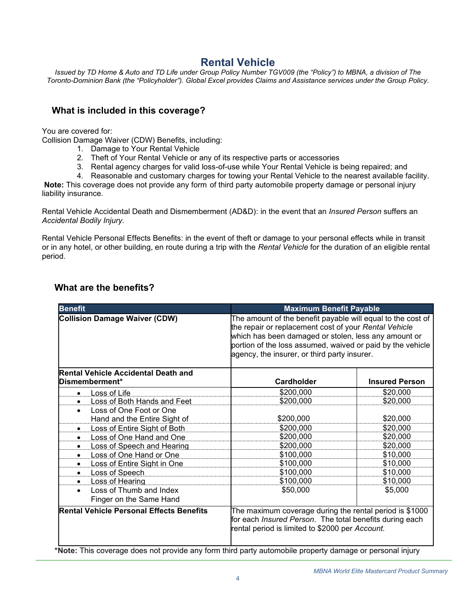### **Rental Vehicle**

*Issued by TD Home & Auto and TD Life under Group Policy Number TGV009 (the "Policy") to MBNA, a division of The Toronto-Dominion Bank (the "Policyholder"). Global Excel provides Claims and Assistance services under the Group Policy.*

#### **What is included in this coverage?**

You are covered for:

Collision Damage Waiver (CDW) Benefits, including:

- 1. Damage to Your Rental Vehicle
- 2. Theft of Your Rental Vehicle or any of its respective parts or accessories
- 3. Rental agency charges for valid loss-of-use while Your Rental Vehicle is being repaired; and
- 4. Reasonable and customary charges for towing your Rental Vehicle to the nearest available facility.

**Note:** This coverage does not provide any form of third party automobile property damage or personal injury liability insurance.

Rental Vehicle Accidental Death and Dismemberment (AD&D): in the event that an *Insured Person* suffers an *Accidental Bodily Injury*.

Rental Vehicle Personal Effects Benefits: in the event of theft or damage to your personal effects while in transit or in any hotel, or other building, en route during a trip with the *Rental Vehicle* for the duration of an eligible rental period.

| <b>Benefit</b>                                                  | <b>Maximum Benefit Payable</b>                                                                                                                                                                                                                                                             |                       |
|-----------------------------------------------------------------|--------------------------------------------------------------------------------------------------------------------------------------------------------------------------------------------------------------------------------------------------------------------------------------------|-----------------------|
| <b>Collision Damage Waiver (CDW)</b>                            | The amount of the benefit payable will equal to the cost of<br>the repair or replacement cost of your Rental Vehicle<br>which has been damaged or stolen, less any amount or<br>portion of the loss assumed, waived or paid by the vehicle<br>agency, the insurer, or third party insurer. |                       |
| <b>Rental Vehicle Accidental Death and</b><br>Dismemberment*    | Cardholder                                                                                                                                                                                                                                                                                 | <b>Insured Person</b> |
| <b>Loss of Life</b><br>$\bullet$                                | \$200,000                                                                                                                                                                                                                                                                                  | \$20,000              |
| Loss of Both Hands and Feet<br>$\bullet$                        | \$200,000                                                                                                                                                                                                                                                                                  | \$20,000              |
| Loss of One Foot or One                                         |                                                                                                                                                                                                                                                                                            |                       |
| Hand and the Entire Sight of                                    | \$200,000                                                                                                                                                                                                                                                                                  | \$20,000              |
| Loss of Entire Sight of Both<br>$\bullet$                       | \$200,000                                                                                                                                                                                                                                                                                  | \$20,000              |
| Loss of One Hand and One<br>$\bullet$                           | \$200,000                                                                                                                                                                                                                                                                                  | \$20,000              |
| Loss of Speech and Hearing                                      | \$200,000                                                                                                                                                                                                                                                                                  | \$20,000              |
| Loss of One Hand or One<br>$\bullet$                            | \$100,000                                                                                                                                                                                                                                                                                  | \$10,000              |
| <b>Loss of Entire Sight in One</b><br>٠                         | \$100,000                                                                                                                                                                                                                                                                                  | \$10,000              |
| Loss of Speech<br>٠                                             | \$100,000                                                                                                                                                                                                                                                                                  | \$10,000              |
| Loss of Hearing<br>$\bullet$                                    | \$100,000                                                                                                                                                                                                                                                                                  | \$10,000              |
| Loss of Thumb and Index<br>$\bullet$<br>Finger on the Same Hand | \$50,000                                                                                                                                                                                                                                                                                   | \$5,000               |
| <b>Rental Vehicle Personal Effects Benefits</b>                 | The maximum coverage during the rental period is \$1000<br>for each Insured Person. The total benefits during each<br>rental period is limited to \$2000 per Account.                                                                                                                      |                       |

#### **What are the benefits?**

**\*Note:** This coverage does not provide any form third party automobile property damage or personal injury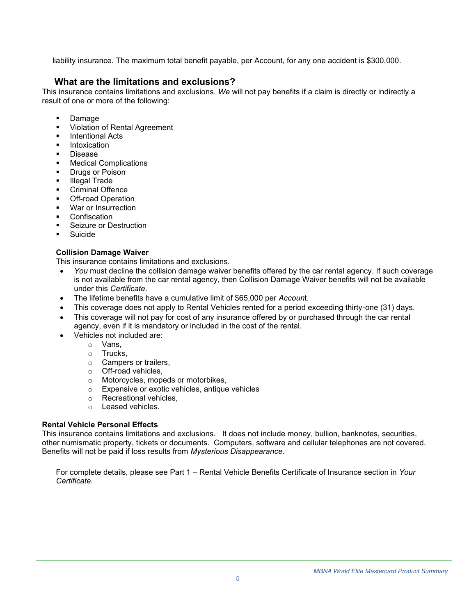liability insurance. The maximum total benefit payable, per Account, for any one accident is \$300,000.

### **What are the limitations and exclusions?**

This insurance contains limitations and exclusions. *We* will not pay benefits if a claim is directly or indirectly a result of one or more of the following:

- **Damage**
- **Violation of Rental Agreement**
- **Intentional Acts**
- **Intoxication**
- **Disease**
- **Medical Complications**
- **Drugs or Poison**
- **Illegal Trade**
- Criminal Offence
- **Off-road Operation**
- War or Insurrection
- **Confiscation**
- Seizure or Destruction
- **Suicide**

#### **Collision Damage Waiver**

This insurance contains limitations and exclusions.

- *You* must decline the collision damage waiver benefits offered by the car rental agency. If such coverage is not available from the car rental agency, then Collision Damage Waiver benefits will not be available under this *Certificate*.
- The lifetime benefits have a cumulative limit of \$65,000 per *Accoun*t.
- This coverage does not apply to Rental Vehicles rented for a period exceeding thirty-one (31) days.
- This coverage will not pay for cost of any insurance offered by or purchased through the car rental agency, even if it is mandatory or included in the cost of the rental.
- Vehicles not included are:
	- o Vans,
	- o Trucks,
	- o Campers or trailers,
	- o Off-road vehicles,
	- o Motorcycles, mopeds or motorbikes,
	- o Expensive or exotic vehicles, antique vehicles
	- o Recreational vehicles,
	- o Leased vehicles.

#### **Rental Vehicle Personal Effects**

This insurance contains limitations and exclusions. It does not include money, bullion, banknotes, securities, other numismatic property, tickets or documents. Computers, software and cellular telephones are not covered. Benefits will not be paid if loss results from *Mysterious Disappearance*.

For complete details, please see Part 1 – Rental Vehicle Benefits Certificate of Insurance section in *Your Certificate.*